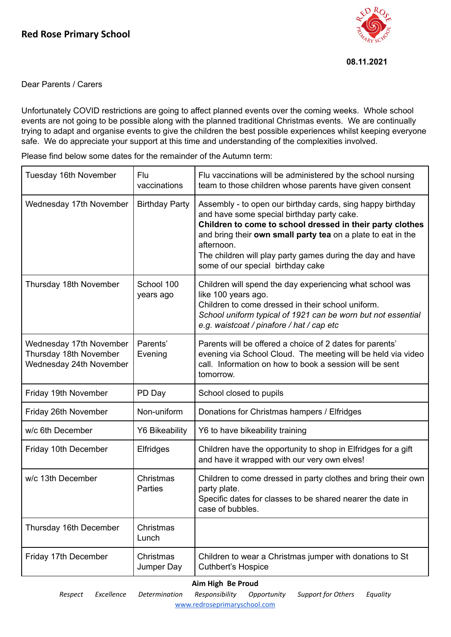

Dear Parents / Carers

Unfortunately COVID restrictions are going to affect planned events over the coming weeks. Whole school events are not going to be possible along with the planned traditional Christmas events. We are continually trying to adapt and organise events to give the children the best possible experiences whilst keeping everyone safe. We do appreciate your support at this time and understanding of the complexities involved.

Please find below some dates for the remainder of the Autumn term:

| Tuesday 16th November                                                        | Flu<br>vaccinations         | Flu vaccinations will be administered by the school nursing<br>team to those children whose parents have given consent                                                                                                                                                                                                                                 |
|------------------------------------------------------------------------------|-----------------------------|--------------------------------------------------------------------------------------------------------------------------------------------------------------------------------------------------------------------------------------------------------------------------------------------------------------------------------------------------------|
| Wednesday 17th November                                                      | <b>Birthday Party</b>       | Assembly - to open our birthday cards, sing happy birthday<br>and have some special birthday party cake.<br>Children to come to school dressed in their party clothes<br>and bring their own small party tea on a plate to eat in the<br>afternoon.<br>The children will play party games during the day and have<br>some of our special birthday cake |
| Thursday 18th November                                                       | School 100<br>years ago     | Children will spend the day experiencing what school was<br>like 100 years ago.<br>Children to come dressed in their school uniform.<br>School uniform typical of 1921 can be worn but not essential<br>e.g. waistcoat / pinafore / hat / cap etc                                                                                                      |
| Wednesday 17th November<br>Thursday 18th November<br>Wednesday 24th November | Parents'<br>Evening         | Parents will be offered a choice of 2 dates for parents'<br>evening via School Cloud. The meeting will be held via video<br>call. Information on how to book a session will be sent<br>tomorrow.                                                                                                                                                       |
| Friday 19th November                                                         | PD Day                      | School closed to pupils                                                                                                                                                                                                                                                                                                                                |
| Friday 26th November                                                         | Non-uniform                 | Donations for Christmas hampers / Elfridges                                                                                                                                                                                                                                                                                                            |
| w/c 6th December                                                             | <b>Y6 Bikeability</b>       | Y6 to have bikeability training                                                                                                                                                                                                                                                                                                                        |
| Friday 10th December                                                         | <b>Elfridges</b>            | Children have the opportunity to shop in Elfridges for a gift<br>and have it wrapped with our very own elves!                                                                                                                                                                                                                                          |
| w/c 13th December                                                            | Christmas<br><b>Parties</b> | Children to come dressed in party clothes and bring their own<br>party plate.<br>Specific dates for classes to be shared nearer the date in<br>case of bubbles.                                                                                                                                                                                        |
| Thursday 16th December                                                       | Christmas<br>Lunch          |                                                                                                                                                                                                                                                                                                                                                        |
| Friday 17th December                                                         | Christmas<br>Jumper Day     | Children to wear a Christmas jumper with donations to St<br><b>Cuthbert's Hospice</b>                                                                                                                                                                                                                                                                  |

## **Aim High Be Proud**